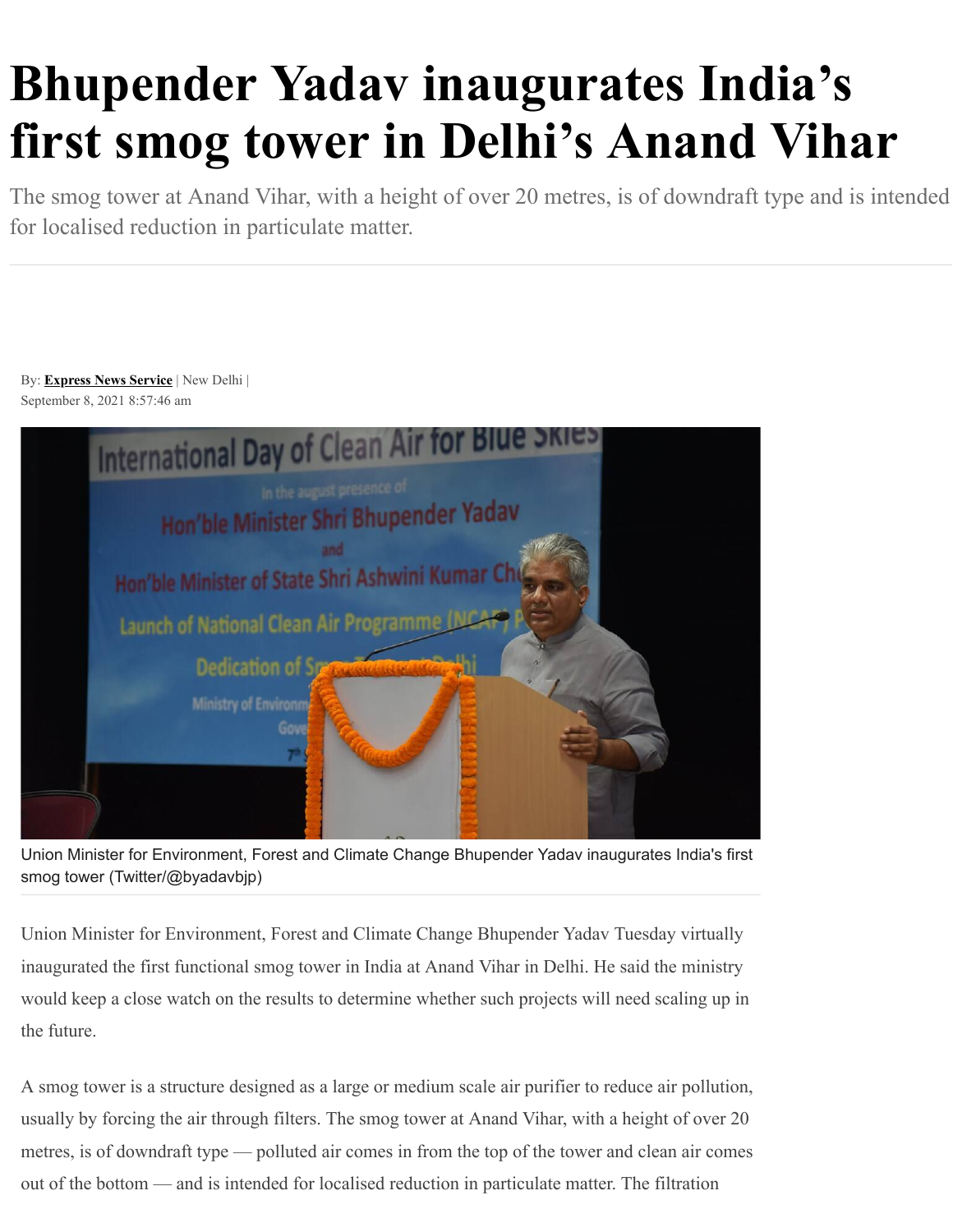## **Bhupender Yadav inaugurates India's first smog tower in Delhi's Anand Vihar**

The smog tower at Anand Vihar, with a height of over 20 metres, is of downdraft type and is intended for localised reduction in particulate matter.

By: **[Express News Service](https://indianexpress.com/agency/express-news-service/)** | New Delhi | September 8, 2021 8:57:46 am



Union Minister for Environment, Forest and Climate Change Bhupender Yadav inaugurates India's first smog tower (Twitter/@byadavbjp)

Union Minister for Environment, Forest and Climate Change Bhupender Yadav Tuesday virtually inaugurated the first functional smog tower in India at Anand Vihar in Delhi. He said the ministry would keep a close watch on the results to determine whether such projects will need scaling up in the future.

A smog tower is a structure designed as a large or medium scale air purifier to reduce air pollution, usually by forcing the air through filters. The smog tower at Anand Vihar, with a height of over 20 metres, is of downdraft type — polluted air comes in from the top of the tower and clean air comes out of the bottom — and is intended for localised reduction in particulate matter. The filtration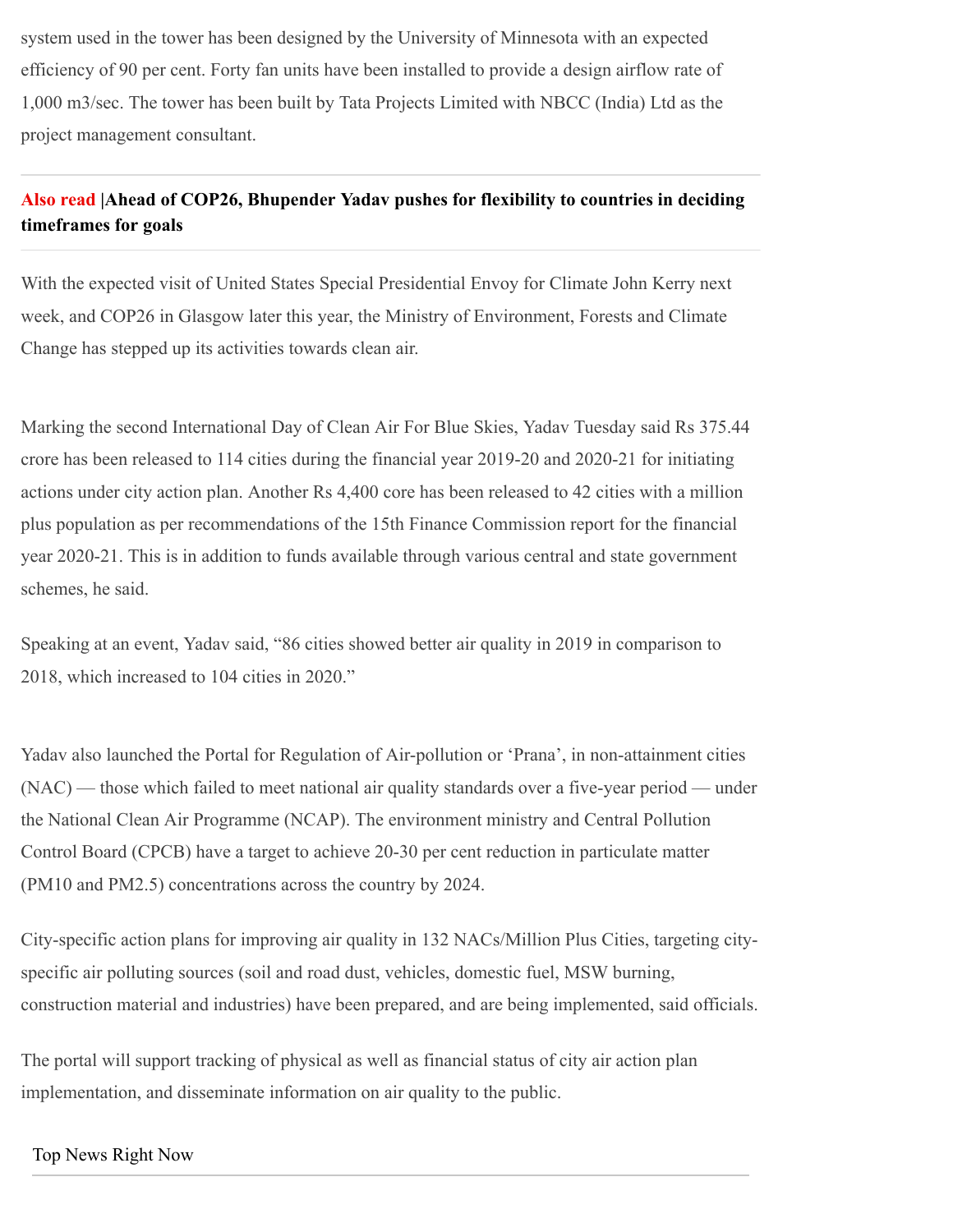system used in the tower has been designed by the University of Minnesota with an expected efficiency of 90 per cent. Forty fan units have been installed to provide a design airflow rate of 1,000 m3/sec. The tower has been built by Tata Projects Limited with NBCC (India) Ltd as the project management consultant.

## **Also read [|Ahead of COP26, Bhupender Yadav pushes for flexibility to countries in deciding](https://indianexpress.com/article/india/ahead-of-cop26-yadav-pushes-for-flexibility-to-countries-in-deciding-timeframes-for-goals-7495421/) timeframes for goals**

With the expected visit of United States Special Presidential Envoy for Climate John Kerry next week, and COP26 in Glasgow later this year, the Ministry of Environment, Forests and Climate Change has stepped up its activities towards clean air.

Marking the second International Day of Clean Air For Blue Skies, Yadav Tuesday said Rs 375.44 crore has been released to 114 cities during the financial year 2019-20 and 2020-21 for initiating actions under city action plan. Another Rs 4,400 core has been released to 42 cities with a million plus population as per recommendations of the 15th Finance Commission report for the financial year 2020-21. This is in addition to funds available through various central and state government schemes, he said.

Speaking at an event, Yadav said, "86 cities showed better air quality in 2019 in comparison to 2018, which increased to 104 cities in 2020."

Yadav also launched the Portal for Regulation of Air-pollution or 'Prana', in non-attainment cities (NAC) — those which failed to meet national air quality standards over a five-year period — under the National Clean Air Programme (NCAP). The environment ministry and Central Pollution Control Board (CPCB) have a target to achieve 20-30 per cent reduction in particulate matter (PM10 and PM2.5) concentrations across the country by 2024.

City-specific action plans for improving air quality in 132 NACs/Million Plus Cities, targeting cityspecific air polluting sources (soil and road dust, vehicles, domestic fuel, MSW burning, construction material and industries) have been prepared, and are being implemented, said officials.

The portal will support tracking of physical as well as financial status of city air action plan implementation, and disseminate information on air quality to the public.

## [Top News Right Now](https://indianexpress.com/latest-news/)